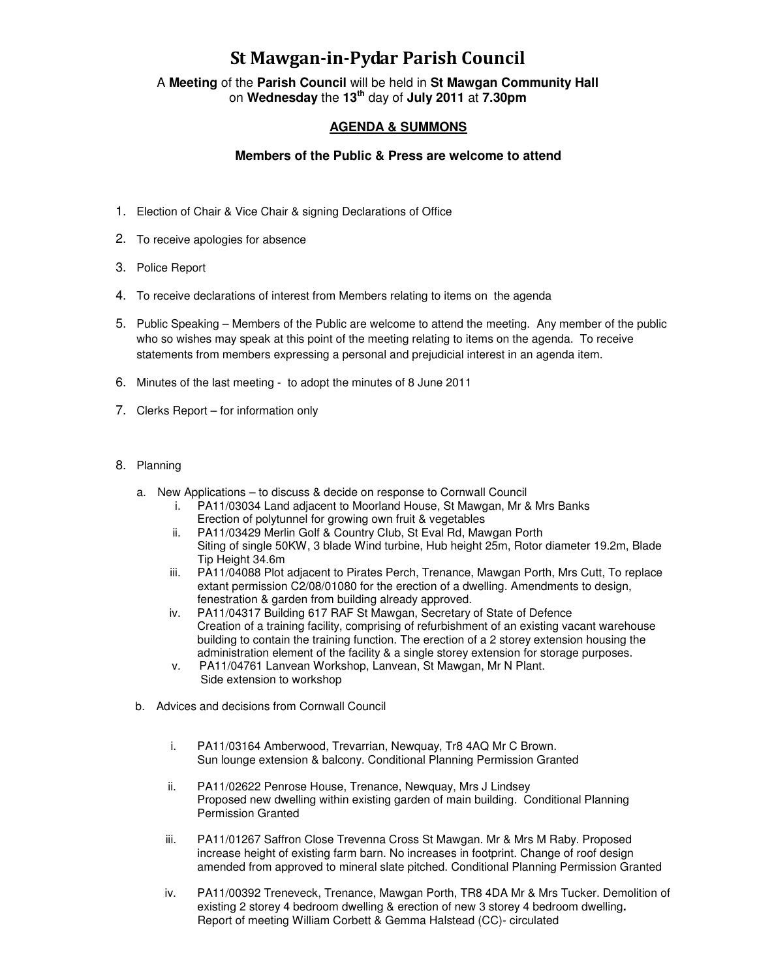## St Mawgan-in-Pydar Parish Council

A **Meeting** of the **Parish Council** will be held in **St Mawgan Community Hall** on **Wednesday** the **13th** day of **July 2011** at **7.30pm** 

## **AGENDA & SUMMONS**

## **Members of the Public & Press are welcome to attend**

- 1. Election of Chair & Vice Chair & signing Declarations of Office
- 2. To receive apologies for absence
- 3. Police Report
- 4. To receive declarations of interest from Members relating to items on the agenda
- 5. Public Speaking Members of the Public are welcome to attend the meeting. Any member of the public who so wishes may speak at this point of the meeting relating to items on the agenda. To receive statements from members expressing a personal and prejudicial interest in an agenda item.
- 6. Minutes of the last meeting to adopt the minutes of 8 June 2011
- 7. Clerks Report for information only
- 8. Planning
	- a. New Applications to discuss & decide on response to Cornwall Council
		- i. PA11/03034 Land adjacent to Moorland House, St Mawgan, Mr & Mrs Banks Erection of polytunnel for growing own fruit & vegetables
		- ii. PA11/03429 Merlin Golf & Country Club, St Eval Rd, Mawgan Porth Siting of single 50KW, 3 blade Wind turbine, Hub height 25m, Rotor diameter 19.2m, Blade Tip Height 34.6m
		- iii. PA11/04088 Plot adjacent to Pirates Perch, Trenance, Mawgan Porth, Mrs Cutt, To replace extant permission C2/08/01080 for the erection of a dwelling. Amendments to design, fenestration & garden from building already approved.
		- iv. PA11/04317 Building 617 RAF St Mawgan, Secretary of State of Defence Creation of a training facility, comprising of refurbishment of an existing vacant warehouse building to contain the training function. The erection of a 2 storey extension housing the administration element of the facility & a single storey extension for storage purposes.
		- v. PA11/04761 Lanvean Workshop, Lanvean, St Mawgan, Mr N Plant. Side extension to workshop
	- b. Advices and decisions from Cornwall Council
		- i. PA11/03164 Amberwood, Trevarrian, Newquay, Tr8 4AQ Mr C Brown. Sun lounge extension & balcony. Conditional Planning Permission Granted
		- ii. PA11/02622 Penrose House, Trenance, Newquay, Mrs J Lindsey Proposed new dwelling within existing garden of main building. Conditional Planning Permission Granted
		- iii. PA11/01267 Saffron Close Trevenna Cross St Mawgan. Mr & Mrs M Raby. Proposed increase height of existing farm barn. No increases in footprint. Change of roof design amended from approved to mineral slate pitched. Conditional Planning Permission Granted
		- iv. PA11/00392 Treneveck, Trenance, Mawgan Porth, TR8 4DA Mr & Mrs Tucker. Demolition of existing 2 storey 4 bedroom dwelling & erection of new 3 storey 4 bedroom dwelling**.** Report of meeting William Corbett & Gemma Halstead (CC)- circulated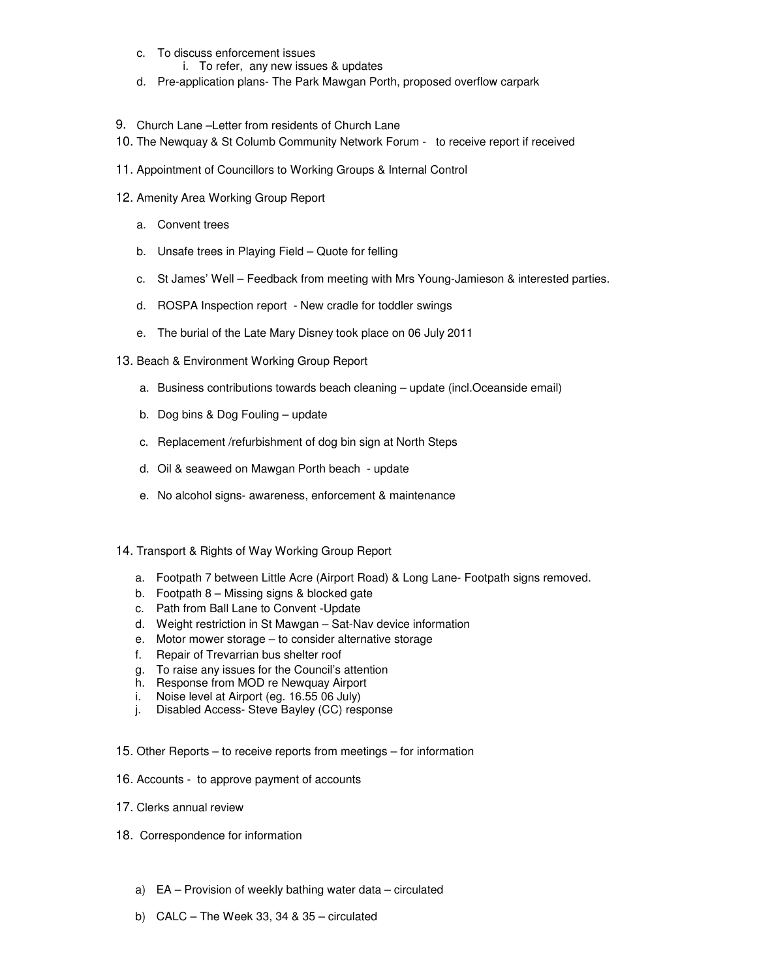- c. To discuss enforcement issues
	- i. To refer, any new issues & updates
- d. Pre-application plans- The Park Mawgan Porth, proposed overflow carpark
- 9. Church Lane –Letter from residents of Church Lane
- 10. The Newquay & St Columb Community Network Forum to receive report if received
- 11. Appointment of Councillors to Working Groups & Internal Control
- 12. Amenity Area Working Group Report
	- a. Convent trees
	- b. Unsafe trees in Playing Field Quote for felling
	- c. St James' Well Feedback from meeting with Mrs Young-Jamieson & interested parties.
	- d. ROSPA Inspection report New cradle for toddler swings
	- e. The burial of the Late Mary Disney took place on 06 July 2011
- 13. Beach & Environment Working Group Report
	- a. Business contributions towards beach cleaning update (incl.Oceanside email)
	- b. Dog bins & Dog Fouling update
	- c. Replacement /refurbishment of dog bin sign at North Steps
	- d. Oil & seaweed on Mawgan Porth beach update
	- e. No alcohol signs- awareness, enforcement & maintenance
- 14. Transport & Rights of Way Working Group Report
	- a. Footpath 7 between Little Acre (Airport Road) & Long Lane- Footpath signs removed.
	- b. Footpath 8 Missing signs & blocked gate
	- c. Path from Ball Lane to Convent -Update
	- d. Weight restriction in St Mawgan Sat-Nav device information
	- e. Motor mower storage to consider alternative storage
	- f. Repair of Trevarrian bus shelter roof
	- g. To raise any issues for the Council's attention
	- h. Response from MOD re Newquay Airport
	- i. Noise level at Airport (eg. 16.55 06 July)
	- j. Disabled Access- Steve Bayley (CC) response
- 15. Other Reports to receive reports from meetings for information
- 16. Accounts to approve payment of accounts
- 17. Clerks annual review
- 18. Correspondence for information
	- a) EA Provision of weekly bathing water data circulated
	- b) CALC The Week 33, 34 & 35 circulated